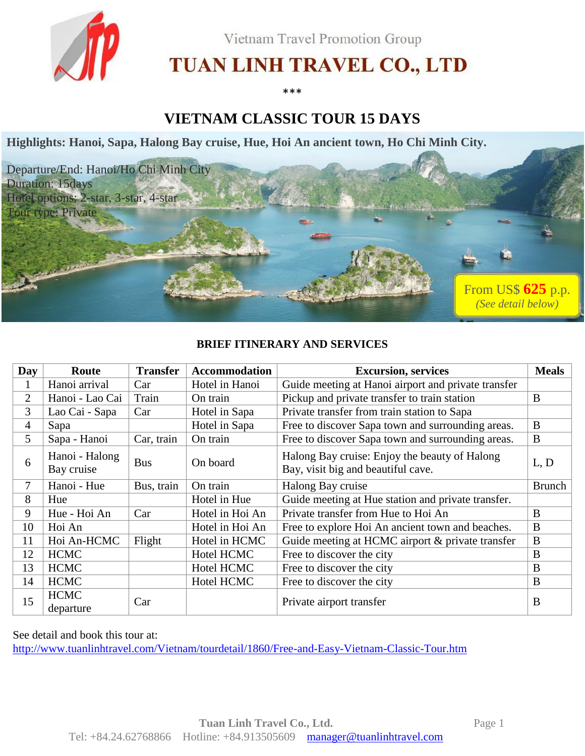

Vietnam Travel Promotion Group

# TUAN LINH TRAVEL CO., LTD

\*\*\*

# **VIETNAM CLASSIC TOUR 15 DAYS**

**Highlights: Hanoi, Sapa, Halong Bay cruise, Hue, Hoi An ancient town, Ho Chi Minh City.**



# **BRIEF ITINERARY AND SERVICES**

| Day | Route                        | <b>Transfer</b> | <b>Accommodation</b>                                     | <b>Excursion</b> , services                                                         | <b>Meals</b>  |
|-----|------------------------------|-----------------|----------------------------------------------------------|-------------------------------------------------------------------------------------|---------------|
|     | Hanoi arrival                | Car             | Hotel in Hanoi                                           | Guide meeting at Hanoi airport and private transfer                                 |               |
| 2   | Hanoi - Lao Cai              | Train           | Pickup and private transfer to train station<br>On train |                                                                                     | B             |
| 3   | Lao Cai - Sapa               | Car             | Hotel in Sapa                                            | Private transfer from train station to Sapa                                         |               |
| 4   | Sapa                         |                 | Hotel in Sapa                                            | Free to discover Sapa town and surrounding areas.                                   | B             |
| 5   | Sapa - Hanoi                 | Car, train      | On train                                                 | Free to discover Sapa town and surrounding areas.                                   | $\bf{B}$      |
| 6   | Hanoi - Halong<br>Bay cruise | <b>Bus</b>      | On board                                                 | Halong Bay cruise: Enjoy the beauty of Halong<br>Bay, visit big and beautiful cave. | L, D          |
| 7   | Hanoi - Hue                  | Bus, train      | On train                                                 | Halong Bay cruise                                                                   | <b>Brunch</b> |
| 8   | Hue                          |                 | Hotel in Hue                                             | Guide meeting at Hue station and private transfer.                                  |               |
| 9   | Hue - Hoi An                 | Car             | Hotel in Hoi An                                          | Private transfer from Hue to Hoi An                                                 | B             |
| 10  | Hoi An                       |                 | Hotel in Hoi An                                          | Free to explore Hoi An ancient town and beaches.                                    | B             |
| 11  | Hoi An-HCMC                  | Flight          | Hotel in HCMC                                            | Guide meeting at HCMC airport & private transfer                                    | B             |
| 12  | <b>HCMC</b>                  |                 | Hotel HCMC                                               | Free to discover the city                                                           | B             |
| 13  | <b>HCMC</b>                  |                 | Hotel HCMC                                               | Free to discover the city                                                           | B             |
| 14  | <b>HCMC</b>                  |                 | Hotel HCMC                                               | Free to discover the city                                                           | B             |
| 15  | <b>HCMC</b><br>departure     | Car             |                                                          | Private airport transfer                                                            | B             |

See detail and book this tour at:

<http://www.tuanlinhtravel.com/Vietnam/tourdetail/1860/Free-and-Easy-Vietnam-Classic-Tour.htm>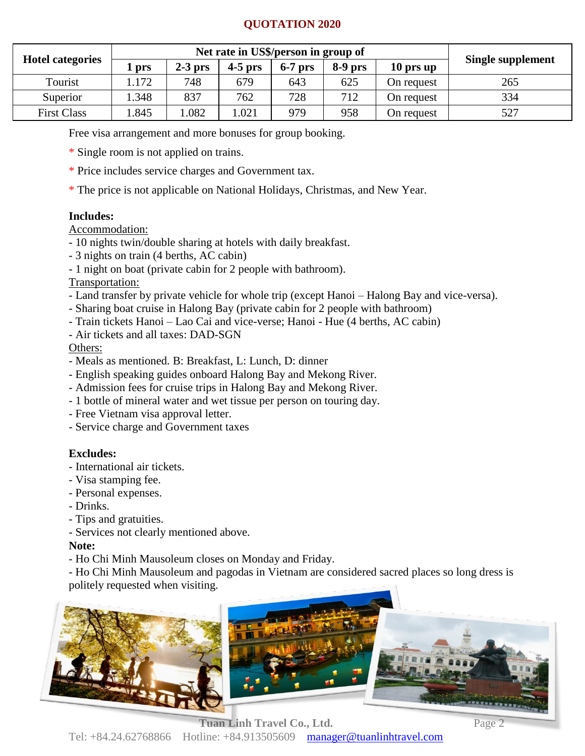# **QUOTATION 2020**

| <b>Hotel categories</b> |       | Net rate in US\$/person in group of |           |           |           |            |                   |
|-------------------------|-------|-------------------------------------|-----------|-----------|-----------|------------|-------------------|
|                         | l prs | $2-3$ prs                           | $4-5$ prs | $6-7$ prs | $8-9$ prs | 10 prs up  | Single supplement |
| Tourist                 | .172  | 748                                 | 679       | 643       | 625       | On request | 265               |
| Superior                | .348  | 837                                 | 762       | 728       | 712       | On request | 334               |
| <b>First Class</b>      | .845  | .082                                | .021      | 979       | 958       | On request | 527               |

Free visa arrangement and more bonuses for group booking.

- \* Single room is not applied on trains.
- \* Price includes service charges and Government tax.
- \* The price is not applicable on National Holidays, Christmas, and New Year.

# **Includes:**

Accommodation:

- 10 nights twin/double sharing at hotels with daily breakfast.
- 3 nights on train (4 berths, AC cabin)
- 1 night on boat (private cabin for 2 people with bathroom).

# Transportation:

- Land transfer by private vehicle for whole trip (except Hanoi Halong Bay and vice-versa).
- Sharing boat cruise in Halong Bay (private cabin for 2 people with bathroom)
- Train tickets Hanoi Lao Cai and vice-verse; Hanoi Hue (4 berths, AC cabin)
- Air tickets and all taxes: DAD-SGN

Others:

- Meals as mentioned. B: Breakfast, L: Lunch, D: dinner
- English speaking guides onboard Halong Bay and Mekong River.
- Admission fees for cruise trips in Halong Bay and Mekong River.
- 1 bottle of mineral water and wet tissue per person on touring day.
- Free Vietnam visa approval letter.
- Service charge and Government taxes

# **Excludes:**

- International air tickets.
- Visa stamping fee.
- Personal expenses.
- Drinks.
- Tips and gratuities.
- Services not clearly mentioned above.

# **Note:**

- Ho Chi Minh Mausoleum closes on Monday and Friday.

- Ho Chi Minh Mausoleum and pagodas in Vietnam are considered sacred places so long dress is politely requested when visiting.

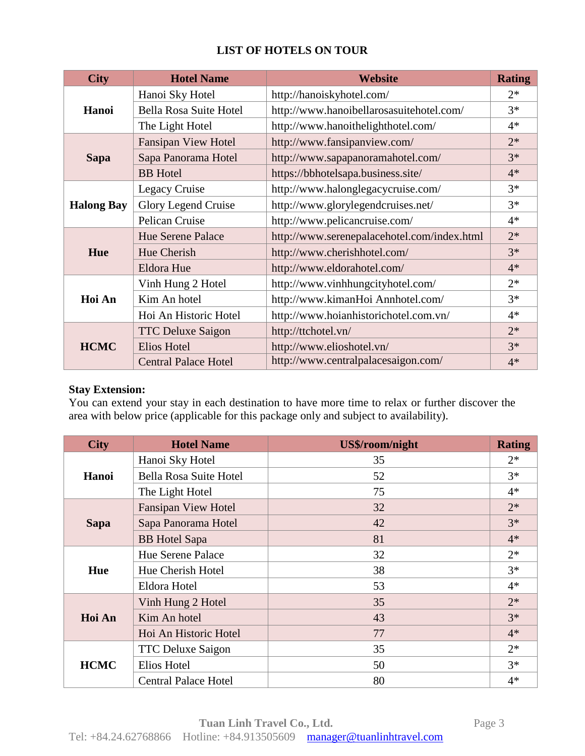| <b>City</b>       | <b>Hotel Name</b>             | Website                                     | <b>Rating</b> |
|-------------------|-------------------------------|---------------------------------------------|---------------|
|                   | Hanoi Sky Hotel               | http://hanoiskyhotel.com/                   | $2*$          |
| Hanoi             | <b>Bella Rosa Suite Hotel</b> | http://www.hanoibellarosasuitehotel.com/    | $3*$          |
|                   | The Light Hotel               | http://www.hanoithelighthotel.com/          | $4*$          |
|                   | <b>Fansipan View Hotel</b>    | http://www.fansipanview.com/                | $2*$          |
| <b>Sapa</b>       | Sapa Panorama Hotel           | http://www.sapapanoramahotel.com/           | $3*$          |
|                   | <b>BB</b> Hotel               | https://bbhotelsapa.business.site/          | $4*$          |
|                   | Legacy Cruise                 | http://www.halonglegacycruise.com/          | $3*$          |
| <b>Halong Bay</b> | Glory Legend Cruise           | http://www.glorylegendcruises.net/          | $3*$          |
|                   | Pelican Cruise                | http://www.pelicancruise.com/               | $4*$          |
|                   | <b>Hue Serene Palace</b>      | http://www.serenepalacehotel.com/index.html | $2*$          |
| Hue               | Hue Cherish                   | http://www.cherishhotel.com/                | $3*$          |
|                   | Eldora Hue                    | http://www.eldorahotel.com/                 | $4*$          |
|                   | Vinh Hung 2 Hotel             | http://www.vinhhungcityhotel.com/           | $2*$          |
| Hoi An            | Kim An hotel                  | http://www.kimanHoi Annhotel.com/           | $3*$          |
|                   | Hoi An Historic Hotel         | http://www.hoianhistorichotel.com.vn/       | $4*$          |
|                   | <b>TTC Deluxe Saigon</b>      | http://ttchotel.vn/                         | $2*$          |
| <b>HCMC</b>       | <b>Elios Hotel</b>            | http://www.elioshotel.vn/                   | $3*$          |
|                   | <b>Central Palace Hotel</b>   | http://www.centralpalacesaigon.com/         | $4*$          |

# **LIST OF HOTELS ON TOUR**

# **Stay Extension:**

You can extend your stay in each destination to have more time to relax or further discover the area with below price (applicable for this package only and subject to availability).

| <b>City</b> | <b>Hotel Name</b>                 | US\$/room/night | <b>Rating</b> |
|-------------|-----------------------------------|-----------------|---------------|
|             | Hanoi Sky Hotel                   | 35              | $2*$          |
| Hanoi       | Bella Rosa Suite Hotel            | 52              | $3*$          |
|             | The Light Hotel                   | 75              | $4*$          |
|             | <b>Fansipan View Hotel</b>        | 32              | $2*$          |
| <b>Sapa</b> | Sapa Panorama Hotel               | 42              | $3*$          |
|             | <b>BB</b> Hotel Sapa              | 81              | $4*$          |
|             | <b>Hue Serene Palace</b>          | 32              | $2*$          |
| Hue         | Hue Cherish Hotel                 | 38              | $3*$          |
|             | Eldora Hotel<br>Vinh Hung 2 Hotel | 53              | $4*$          |
|             |                                   | 35              | $2*$          |
| Hoi An      | Kim An hotel                      | 43              | $3*$          |
|             | Hoi An Historic Hotel             | 77              | $4*$          |
|             | <b>TTC Deluxe Saigon</b>          | 35              | $2*$          |
| <b>HCMC</b> | Elios Hotel                       | 50              | $3*$          |
|             | <b>Central Palace Hotel</b>       | 80              | $4*$          |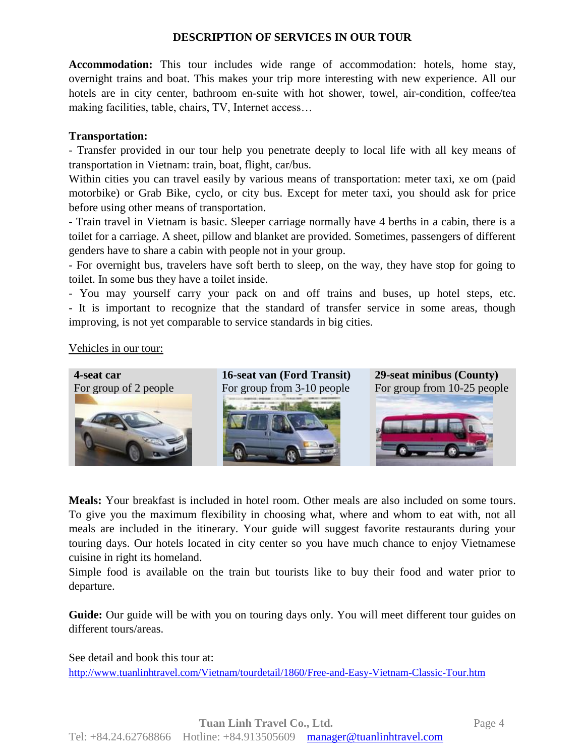# **DESCRIPTION OF SERVICES IN OUR TOUR**

**Accommodation:** This tour includes wide range of accommodation: hotels, home stay, overnight trains and boat. This makes your trip more interesting with new experience. All our hotels are in city center, bathroom en-suite with hot shower, towel, air-condition, coffee/tea making facilities, table, chairs, TV, Internet access…

#### **Transportation:**

- Transfer provided in our tour help you penetrate deeply to local life with all key means of transportation in Vietnam: train, boat, flight, car/bus.

Within cities you can travel easily by various means of transportation: meter taxi, xe om (paid motorbike) or Grab Bike, cyclo, or city bus. Except for meter taxi, you should ask for price before using other means of transportation.

- Train travel in Vietnam is basic. Sleeper carriage normally have 4 berths in a cabin, there is a toilet for a carriage. A sheet, pillow and blanket are provided. Sometimes, passengers of different genders have to share a cabin with people not in your group.

- For overnight bus, travelers have soft berth to sleep, on the way, they have stop for going to toilet. In some bus they have a toilet inside.

- You may yourself carry your pack on and off trains and buses, up hotel steps, etc. - It is important to recognize that the standard of transfer service in some areas, though improving, is not yet comparable to service standards in big cities.

#### Vehicles in our tour:



**Meals:** Your breakfast is included in hotel room. Other meals are also included on some tours. To give you the maximum flexibility in choosing what, where and whom to eat with, not all meals are included in the itinerary. Your guide will suggest favorite restaurants during your touring days. Our hotels located in city center so you have much chance to enjoy Vietnamese cuisine in right its homeland.

Simple food is available on the train but tourists like to buy their food and water prior to departure.

**Guide:** Our guide will be with you on touring days only. You will meet different tour guides on different tours/areas.

See detail and book this tour at: <http://www.tuanlinhtravel.com/Vietnam/tourdetail/1860/Free-and-Easy-Vietnam-Classic-Tour.htm>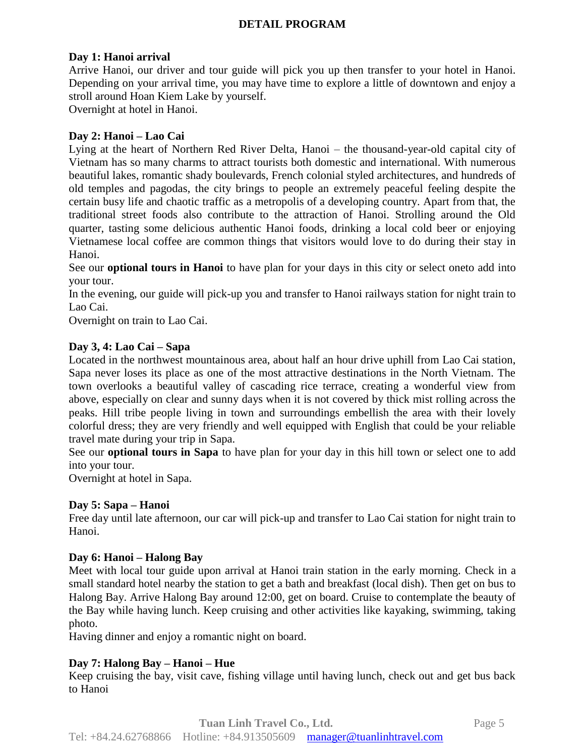# **DETAIL PROGRAM**

#### **Day 1: Hanoi arrival**

Arrive Hanoi, our driver and tour guide will pick you up then transfer to your hotel in Hanoi. Depending on your arrival time, you may have time to explore a little of downtown and enjoy a stroll around Hoan Kiem Lake by yourself.

Overnight at hotel in Hanoi.

#### **Day 2: Hanoi – Lao Cai**

Lying at the heart of Northern Red River Delta, Hanoi – the thousand-year-old capital city of Vietnam has so many charms to attract tourists both domestic and international. With numerous beautiful lakes, romantic shady boulevards, French colonial styled architectures, and hundreds of old temples and pagodas, the city brings to people an extremely peaceful feeling despite the certain busy life and chaotic traffic as a metropolis of a developing country. Apart from that, the traditional street foods also contribute to the attraction of Hanoi. Strolling around the Old quarter, tasting some delicious authentic Hanoi foods, drinking a local cold beer or enjoying Vietnamese local coffee are common things that visitors would love to do during their stay in Hanoi.

See our **optional tours in Hanoi** to have plan for your days in this city or select oneto add into your tour.

In the evening, our guide will pick-up you and transfer to Hanoi railways station for night train to Lao Cai.

Overnight on train to Lao Cai.

#### **Day 3, 4: Lao Cai – Sapa**

Located in the northwest mountainous area, about half an hour drive uphill from Lao Cai station, Sapa never loses its place as one of the most attractive destinations in the North Vietnam. The town overlooks a beautiful valley of cascading rice terrace, creating a wonderful view from above, especially on clear and sunny days when it is not covered by thick mist rolling across the peaks. Hill tribe people living in town and surroundings embellish the area with their lovely colorful dress; they are very friendly and well equipped with English that could be your reliable travel mate during your trip in Sapa.

See our **optional tours in Sapa** to have plan for your day in this hill town or select one to add into your tour.

Overnight at hotel in Sapa.

#### **Day 5: Sapa – Hanoi**

Free day until late afternoon, our car will pick-up and transfer to Lao Cai station for night train to Hanoi.

#### **Day 6: Hanoi – Halong Bay**

Meet with local tour guide upon arrival at Hanoi train station in the early morning. Check in a small standard hotel nearby the station to get a bath and breakfast (local dish). Then get on bus to Halong Bay. Arrive Halong Bay around 12:00, get on board. Cruise to contemplate the beauty of the Bay while having lunch. Keep cruising and other activities like kayaking, swimming, taking photo.

Having dinner and enjoy a romantic night on board.

#### **Day 7: Halong Bay – Hanoi – Hue**

Keep cruising the bay, visit cave, fishing village until having lunch, check out and get bus back to Hanoi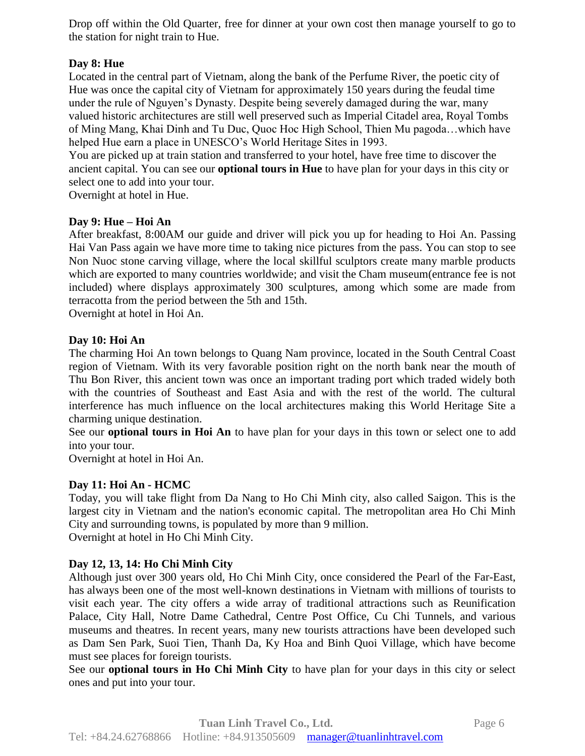Drop off within the Old Quarter, free for dinner at your own cost then manage yourself to go to the station for night train to Hue.

# **Day 8: Hue**

Located in the central part of Vietnam, along the bank of the Perfume River, the poetic city of Hue was once the capital city of Vietnam for approximately 150 years during the feudal time under the rule of Nguyen's Dynasty. Despite being severely damaged during the war, many valued historic architectures are still well preserved such as Imperial Citadel area, Royal Tombs of Ming Mang, Khai Dinh and Tu Duc, Quoc Hoc High School, Thien Mu pagoda…which have helped Hue earn a place in UNESCO's World Heritage Sites in 1993.

You are picked up at train station and transferred to your hotel, have free time to discover the ancient capital. You can see our **optional tours in Hue** to have plan for your days in this city or select one to add into your tour.

Overnight at hotel in Hue.

#### **Day 9: Hue – Hoi An**

After breakfast, 8:00AM our guide and driver will pick you up for heading to Hoi An. Passing Hai Van Pass again we have more time to taking nice pictures from the pass. You can stop to see Non Nuoc stone carving village, where the local skillful sculptors create many marble products which are exported to many countries worldwide; and visit the Cham museum(entrance fee is not included) where displays approximately 300 sculptures, among which some are made from terracotta from the period between the 5th and 15th.

Overnight at hotel in Hoi An.

#### **Day 10: Hoi An**

The charming Hoi An town belongs to Quang Nam province, located in the South Central Coast region of Vietnam. With its very favorable position right on the north bank near the mouth of Thu Bon River, this ancient town was once an important trading port which traded widely both with the countries of Southeast and East Asia and with the rest of the world. The cultural interference has much influence on the local architectures making this World Heritage Site a charming unique destination.

See our **optional tours in Hoi An** to have plan for your days in this town or select one to add into your tour.

Overnight at hotel in Hoi An.

# **Day 11: Hoi An - HCMC**

Today, you will take flight from Da Nang to Ho Chi Minh city, also called Saigon. This is the largest city in Vietnam and the nation's economic capital. The metropolitan area Ho Chi Minh City and surrounding towns, is populated by more than 9 million. Overnight at hotel in Ho Chi Minh City.

# **Day 12, 13, 14: Ho Chi Minh City**

Although just over 300 years old, Ho Chi Minh City, once considered the Pearl of the Far-East, has always been one of the most well-known destinations in Vietnam with millions of tourists to visit each year. The city offers a wide array of traditional attractions such as Reunification Palace, City Hall, Notre Dame Cathedral, Centre Post Office, Cu Chi Tunnels, and various museums and theatres. In recent years, many new tourists attractions have been developed such as Dam Sen Park, Suoi Tien, Thanh Da, Ky Hoa and Binh Quoi Village, which have become must see places for foreign tourists.

See our **optional tours in Ho Chi Minh City** to have plan for your days in this city or select ones and put into your tour.